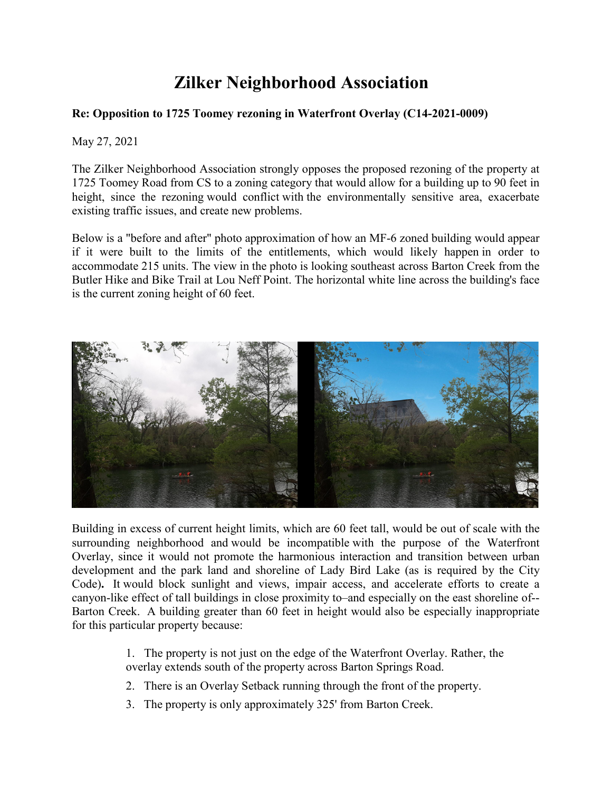## **Zilker Neighborhood Association**

## **Re: Opposition to 1725 Toomey rezoning in Waterfront Overlay (C14-2021-0009)**

May 27, 2021

The Zilker Neighborhood Association strongly opposes the proposed rezoning of the property at 1725 Toomey Road from CS to a zoning category that would allow for a building up to 90 feet in height, since the rezoning would conflict with the environmentally sensitive area, exacerbate existing traffic issues, and create new problems.

Below is a "before and after" photo approximation of how an MF-6 zoned building would appear if it were built to the limits of the entitlements, which would likely happen in order to accommodate 215 units. The view in the photo is looking southeast across Barton Creek from the Butler Hike and Bike Trail at Lou Neff Point. The horizontal white line across the building's face is the current zoning height of 60 feet.



Building in excess of current height limits, which are 60 feet tall, would be out of scale with the surrounding neighborhood and would be incompatible with the purpose of the Waterfront Overlay, since it would not promote the harmonious interaction and transition between urban development and the park land and shoreline of Lady Bird Lake (as is required by the City Code)**.** It would block sunlight and views, impair access, and accelerate efforts to create a canyon-like effect of tall buildings in close proximity to–and especially on the east shoreline of-- Barton Creek. A building greater than 60 feet in height would also be especially inappropriate for this particular property because:

- 1. The property is not just on the edge of the Waterfront Overlay. Rather, the overlay extends south of the property across Barton Springs Road.
- 2. There is an Overlay Setback running through the front of the property.
- 3. The property is only approximately 325' from Barton Creek.